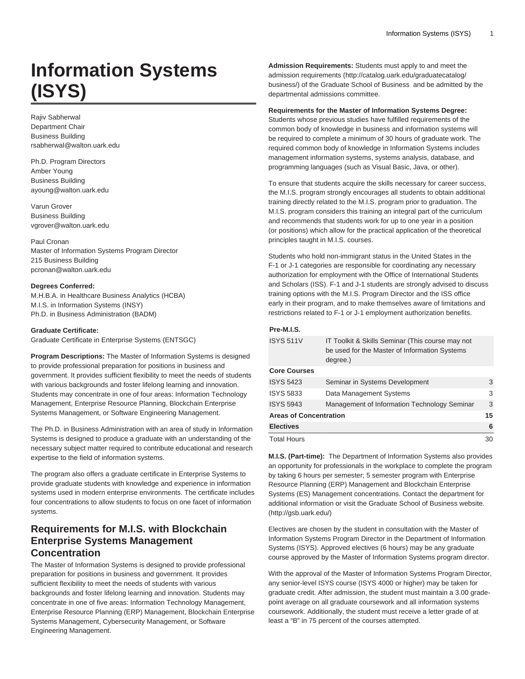# **Information Systems (ISYS)**

Rajiv Sabherwal Department Chair Business Building rsabherwal@walton.uark.edu

Ph.D. Program Directors Amber Young Business Building ayoung@walton.uark.edu

Varun Grover Business Building vgrover@walton.uark.edu

Paul Cronan Master of Information Systems Program Director 215 Business Building pcronan@walton.uark.edu

### **Degrees Conferred:**

M.H.B.A. in Healthcare Business Analytics (HCBA) M.I.S. in Information Systems (INSY) Ph.D. in Business Administration (BADM)

### **Graduate Certificate:**

Graduate Certificate in Enterprise Systems (ENTSGC)

**Program Descriptions:** The Master of Information Systems is designed to provide professional preparation for positions in business and government. It provides sufficient flexibility to meet the needs of students with various backgrounds and foster lifelong learning and innovation. Students may concentrate in one of four areas: Information Technology Management, Enterprise Resource Planning, Blockchain Enterprise Systems Management, or Software Engineering Management.

The Ph.D. in Business Administration with an area of study in Information Systems is designed to produce a graduate with an understanding of the necessary subject matter required to contribute educational and research expertise to the field of information systems.

The program also offers a graduate certificate in Enterprise Systems to provide graduate students with knowledge and experience in information systems used in modern enterprise environments. The certificate includes four concentrations to allow students to focus on one facet of information systems.

### **Requirements for M.I.S. with Blockchain Enterprise Systems Management Concentration**

The Master of Information Systems is designed to provide professional preparation for positions in business and government. It provides sufficient flexibility to meet the needs of students with various backgrounds and foster lifelong learning and innovation. Students may concentrate in one of five areas: Information Technology Management, Enterprise Resource Planning (ERP) Management, Blockchain Enterprise Systems Management, Cybersecurity Management, or Software Engineering Management.

**Admission Requirements:** Students must apply to and meet the admission [requirements](http://catalog.uark.edu/graduatecatalog/business/) ([http://catalog.uark.edu/graduatecatalog/](http://catalog.uark.edu/graduatecatalog/business/) [business/\)](http://catalog.uark.edu/graduatecatalog/business/) of the Graduate School of Business and be admitted by the departmental admissions committee.

### **Requirements for the Master of Information Systems Degree:**

Students whose previous studies have fulfilled requirements of the common body of knowledge in business and information systems will be required to complete a minimum of 30 hours of graduate work. The required common body of knowledge in Information Systems includes management information systems, systems analysis, database, and programming languages (such as Visual Basic, Java, or other).

To ensure that students acquire the skills necessary for career success, the M.I.S. program strongly encourages all students to obtain additional training directly related to the M.I.S. program prior to graduation. The M.I.S. program considers this training an integral part of the curriculum and recommends that students work for up to one year in a position (or positions) which allow for the practical application of the theoretical principles taught in M.I.S. courses.

Students who hold non-immigrant status in the United States in the F-1 or J-1 categories are responsible for coordinating any necessary authorization for employment with the Office of International Students and Scholars (ISS). F-1 and J-1 students are strongly advised to discuss training options with the M.I.S. Program Director and the ISS office early in their program, and to make themselves aware of limitations and restrictions related to F-1 or J-1 employment authorization benefits.

### **Pre-M.I.S.**

| <b>ISYS 511V</b>              | IT Toolkit & Skills Seminar (This course may not<br>be used for the Master of Information Systems<br>degree.) |    |
|-------------------------------|---------------------------------------------------------------------------------------------------------------|----|
| <b>Core Courses</b>           |                                                                                                               |    |
| <b>ISYS 5423</b>              | Seminar in Systems Development                                                                                | 3  |
| <b>ISYS 5833</b>              | Data Management Systems                                                                                       | 3  |
| <b>ISYS 5943</b>              | Management of Information Technology Seminar                                                                  | 3  |
| <b>Areas of Concentration</b> |                                                                                                               | 15 |
| <b>Electives</b>              |                                                                                                               | 6  |
| <b>Total Hours</b>            |                                                                                                               | 30 |

**M.I.S. (Part-time):** The Department of Information Systems also provides an opportunity for professionals in the workplace to complete the program by taking 6 hours per semester; 5 semester program with Enterprise Resource Planning (ERP) Management and Blockchain Enterprise Systems (ES) Management concentrations. Contact the department for additional information or visit the [Graduate School of Business website.](http://gsb.uark.edu/)  (<http://gsb.uark.edu/>)

Electives are chosen by the student in consultation with the Master of Information Systems Program Director in the Department of Information Systems (ISYS). Approved electives (6 hours) may be any graduate course approved by the Master of Information Systems program director.

With the approval of the Master of Information Systems Program Director, any senior-level ISYS course (ISYS 4000 or higher) may be taken for graduate credit. After admission, the student must maintain a 3.00 gradepoint average on all graduate coursework and all information systems coursework. Additionally, the student must receive a letter grade of at least a "B" in 75 percent of the courses attempted.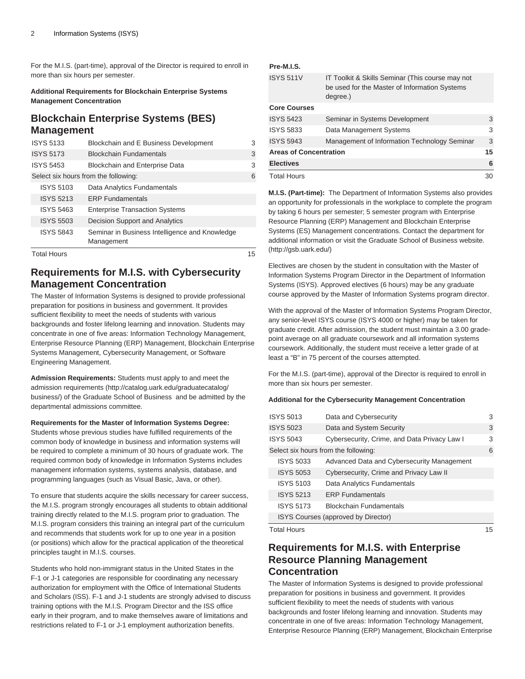For the M.I.S. (part-time), approval of the Director is required to enroll in more than six hours per semester.

### **Additional Requirements for Blockchain Enterprise Systems Management Concentration**

### **Blockchain Enterprise Systems (BES) Management**

| <b>ISYS 5133</b>                     | Blockchain and E Business Development                        | 3 |
|--------------------------------------|--------------------------------------------------------------|---|
| <b>ISYS 5173</b>                     | <b>Blockchain Fundamentals</b>                               | 3 |
| <b>ISYS 5453</b>                     | <b>Blockchain and Enterprise Data</b>                        | 3 |
| Select six hours from the following: |                                                              | 6 |
| <b>ISYS 5103</b>                     | Data Analytics Fundamentals                                  |   |
| <b>ISYS 5213</b>                     | <b>ERP Fundamentals</b>                                      |   |
| <b>ISYS 5463</b>                     | <b>Enterprise Transaction Systems</b>                        |   |
| <b>ISYS 5503</b>                     | Decision Support and Analytics                               |   |
| <b>ISYS 5843</b>                     | Seminar in Business Intelligence and Knowledge<br>Management |   |

Total Hours 15

### **Requirements for M.I.S. with Cybersecurity Management Concentration**

The Master of Information Systems is designed to provide professional preparation for positions in business and government. It provides sufficient flexibility to meet the needs of students with various backgrounds and foster lifelong learning and innovation. Students may concentrate in one of five areas: Information Technology Management, Enterprise Resource Planning (ERP) Management, Blockchain Enterprise Systems Management, Cybersecurity Management, or Software Engineering Management.

**Admission Requirements:** Students must apply to and meet the admission [requirements](http://catalog.uark.edu/graduatecatalog/business/) ([http://catalog.uark.edu/graduatecatalog/](http://catalog.uark.edu/graduatecatalog/business/) [business/\)](http://catalog.uark.edu/graduatecatalog/business/) of the Graduate School of Business and be admitted by the departmental admissions committee.

**Requirements for the Master of Information Systems Degree:**

Students whose previous studies have fulfilled requirements of the common body of knowledge in business and information systems will be required to complete a minimum of 30 hours of graduate work. The required common body of knowledge in Information Systems includes management information systems, systems analysis, database, and programming languages (such as Visual Basic, Java, or other).

To ensure that students acquire the skills necessary for career success, the M.I.S. program strongly encourages all students to obtain additional training directly related to the M.I.S. program prior to graduation. The M.I.S. program considers this training an integral part of the curriculum and recommends that students work for up to one year in a position (or positions) which allow for the practical application of the theoretical principles taught in M.I.S. courses.

Students who hold non-immigrant status in the United States in the F-1 or J-1 categories are responsible for coordinating any necessary authorization for employment with the Office of International Students and Scholars (ISS). F-1 and J-1 students are strongly advised to discuss training options with the M.I.S. Program Director and the ISS office early in their program, and to make themselves aware of limitations and restrictions related to F-1 or J-1 employment authorization benefits.

### **Pre-M.I.S.**

| <b>ISYS 511V</b>              | IT Toolkit & Skills Seminar (This course may not<br>be used for the Master of Information Systems<br>degree.) |    |
|-------------------------------|---------------------------------------------------------------------------------------------------------------|----|
| <b>Core Courses</b>           |                                                                                                               |    |
| <b>ISYS 5423</b>              | Seminar in Systems Development                                                                                | 3  |
| <b>ISYS 5833</b>              | Data Management Systems                                                                                       | 3  |
| <b>ISYS 5943</b>              | Management of Information Technology Seminar                                                                  | 3  |
| <b>Areas of Concentration</b> |                                                                                                               | 15 |
| <b>Electives</b>              |                                                                                                               | 6  |
| <b>Total Hours</b>            |                                                                                                               | 30 |

**M.I.S. (Part-time):** The Department of Information Systems also provides an opportunity for professionals in the workplace to complete the program by taking 6 hours per semester; 5 semester program with Enterprise Resource Planning (ERP) Management and Blockchain Enterprise Systems (ES) Management concentrations. Contact the department for additional information or visit the [Graduate School of Business website.](http://gsb.uark.edu/)  (<http://gsb.uark.edu/>)

Electives are chosen by the student in consultation with the Master of Information Systems Program Director in the Department of Information Systems (ISYS). Approved electives (6 hours) may be any graduate course approved by the Master of Information Systems program director.

With the approval of the Master of Information Systems Program Director, any senior-level ISYS course (ISYS 4000 or higher) may be taken for graduate credit. After admission, the student must maintain a 3.00 gradepoint average on all graduate coursework and all information systems coursework. Additionally, the student must receive a letter grade of at least a "B" in 75 percent of the courses attempted.

For the M.I.S. (part-time), approval of the Director is required to enroll in more than six hours per semester.

### **Additional for the Cybersecurity Management Concentration**

| <b>ISYS 5013</b>                     | Data and Cybersecurity                       | 3 |
|--------------------------------------|----------------------------------------------|---|
| <b>ISYS 5023</b>                     | Data and System Security                     | 3 |
| <b>ISYS 5043</b>                     | Cybersecurity, Crime, and Data Privacy Law I | 3 |
| Select six hours from the following: |                                              | 6 |
| <b>ISYS 5033</b>                     | Advanced Data and Cybersecurity Management   |   |
| <b>ISYS 5053</b>                     | Cybersecurity, Crime and Privacy Law II      |   |
| <b>ISYS 5103</b>                     | Data Analytics Fundamentals                  |   |
| <b>ISYS 5213</b>                     | <b>FRP Fundamentals</b>                      |   |
| <b>ISYS 5173</b>                     | <b>Blockchain Fundamentals</b>               |   |
|                                      | ISYS Courses (approved by Director)          |   |

Total Hours 15

## **Requirements for M.I.S. with Enterprise Resource Planning Management Concentration**

The Master of Information Systems is designed to provide professional preparation for positions in business and government. It provides sufficient flexibility to meet the needs of students with various backgrounds and foster lifelong learning and innovation. Students may concentrate in one of five areas: Information Technology Management, Enterprise Resource Planning (ERP) Management, Blockchain Enterprise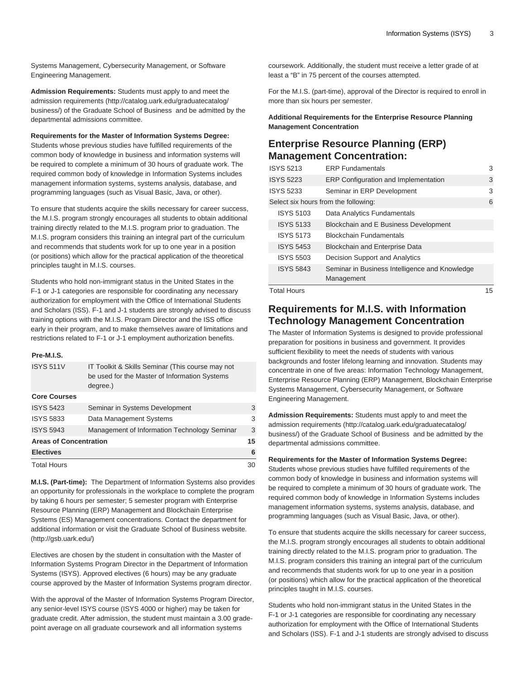Systems Management, Cybersecurity Management, or Software Engineering Management.

**Admission Requirements:** Students must apply to and meet the admission [requirements](http://catalog.uark.edu/graduatecatalog/business/) ([http://catalog.uark.edu/graduatecatalog/](http://catalog.uark.edu/graduatecatalog/business/) [business/\)](http://catalog.uark.edu/graduatecatalog/business/) of the Graduate School of Business and be admitted by the departmental admissions committee.

### **Requirements for the Master of Information Systems Degree:**

Students whose previous studies have fulfilled requirements of the common body of knowledge in business and information systems will be required to complete a minimum of 30 hours of graduate work. The required common body of knowledge in Information Systems includes management information systems, systems analysis, database, and programming languages (such as Visual Basic, Java, or other).

To ensure that students acquire the skills necessary for career success, the M.I.S. program strongly encourages all students to obtain additional training directly related to the M.I.S. program prior to graduation. The M.I.S. program considers this training an integral part of the curriculum and recommends that students work for up to one year in a position (or positions) which allow for the practical application of the theoretical principles taught in M.I.S. courses.

Students who hold non-immigrant status in the United States in the F-1 or J-1 categories are responsible for coordinating any necessary authorization for employment with the Office of International Students and Scholars (ISS). F-1 and J-1 students are strongly advised to discuss training options with the M.I.S. Program Director and the ISS office early in their program, and to make themselves aware of limitations and restrictions related to F-1 or J-1 employment authorization benefits.

### **Pre-M.I.S.**

| <b>ISYS 511V</b>    | IT Toolkit & Skills Seminar (This course may not<br>be used for the Master of Information Systems<br>degree.) |    |
|---------------------|---------------------------------------------------------------------------------------------------------------|----|
| <b>Core Courses</b> |                                                                                                               |    |
| <b>ISYS 5423</b>    | Seminar in Systems Development                                                                                | 3  |
| <b>ISYS 5833</b>    | Data Management Systems                                                                                       | 3  |
| <b>ISYS 5943</b>    | Management of Information Technology Seminar                                                                  | 3  |
|                     | <b>Areas of Concentration</b>                                                                                 |    |
| <b>Electives</b>    |                                                                                                               | 6  |
| <b>Total Hours</b>  |                                                                                                               | 30 |
|                     |                                                                                                               |    |

**M.I.S. (Part-time):** The Department of Information Systems also provides an opportunity for professionals in the workplace to complete the program by taking 6 hours per semester; 5 semester program with Enterprise Resource Planning (ERP) Management and Blockchain Enterprise Systems (ES) Management concentrations. Contact the department for additional information or visit the [Graduate School of Business website.](http://gsb.uark.edu/)  (<http://gsb.uark.edu/>)

Electives are chosen by the student in consultation with the Master of Information Systems Program Director in the Department of Information Systems (ISYS). Approved electives (6 hours) may be any graduate course approved by the Master of Information Systems program director.

With the approval of the Master of Information Systems Program Director, any senior-level ISYS course (ISYS 4000 or higher) may be taken for graduate credit. After admission, the student must maintain a 3.00 gradepoint average on all graduate coursework and all information systems

coursework. Additionally, the student must receive a letter grade of at least a "B" in 75 percent of the courses attempted.

For the M.I.S. (part-time), approval of the Director is required to enroll in more than six hours per semester.

**Additional Requirements for the Enterprise Resource Planning Management Concentration**

### **Enterprise Resource Planning (ERP) Management Concentration:**

| <b>ISYS 5213</b>                     | <b>ERP Fundamentals</b>                                      | 3   |
|--------------------------------------|--------------------------------------------------------------|-----|
| <b>ISYS 5223</b>                     | <b>ERP Configuration and Implementation</b>                  | 3   |
| <b>ISYS 5233</b>                     | Seminar in ERP Development                                   | 3   |
| Select six hours from the following: |                                                              | 6   |
| <b>ISYS 5103</b>                     | Data Analytics Fundamentals                                  |     |
| <b>ISYS 5133</b>                     | Blockchain and E Business Development                        |     |
| <b>ISYS 5173</b>                     | <b>Blockchain Fundamentals</b>                               |     |
| <b>ISYS 5453</b>                     | <b>Blockchain and Enterprise Data</b>                        |     |
| <b>ISYS 5503</b>                     | Decision Support and Analytics                               |     |
| <b>ISYS 5843</b>                     | Seminar in Business Intelligence and Knowledge<br>Management |     |
| $T$ $\sim$ tol $H$ $\sim$ uro        |                                                              | 1 E |

Total Hours

### **Requirements for M.I.S. with Information Technology Management Concentration**

The Master of Information Systems is designed to provide professional preparation for positions in business and government. It provides sufficient flexibility to meet the needs of students with various backgrounds and foster lifelong learning and innovation. Students may concentrate in one of five areas: Information Technology Management, Enterprise Resource Planning (ERP) Management, Blockchain Enterprise Systems Management, Cybersecurity Management, or Software Engineering Management.

**Admission Requirements:** Students must apply to and meet the admission [requirements](http://catalog.uark.edu/graduatecatalog/business/) ([http://catalog.uark.edu/graduatecatalog/](http://catalog.uark.edu/graduatecatalog/business/) [business/\)](http://catalog.uark.edu/graduatecatalog/business/) of the Graduate School of Business and be admitted by the departmental admissions committee.

### **Requirements for the Master of Information Systems Degree:**

Students whose previous studies have fulfilled requirements of the common body of knowledge in business and information systems will be required to complete a minimum of 30 hours of graduate work. The required common body of knowledge in Information Systems includes management information systems, systems analysis, database, and programming languages (such as Visual Basic, Java, or other).

To ensure that students acquire the skills necessary for career success, the M.I.S. program strongly encourages all students to obtain additional training directly related to the M.I.S. program prior to graduation. The M.I.S. program considers this training an integral part of the curriculum and recommends that students work for up to one year in a position (or positions) which allow for the practical application of the theoretical principles taught in M.I.S. courses.

Students who hold non-immigrant status in the United States in the F-1 or J-1 categories are responsible for coordinating any necessary authorization for employment with the Office of International Students and Scholars (ISS). F-1 and J-1 students are strongly advised to discuss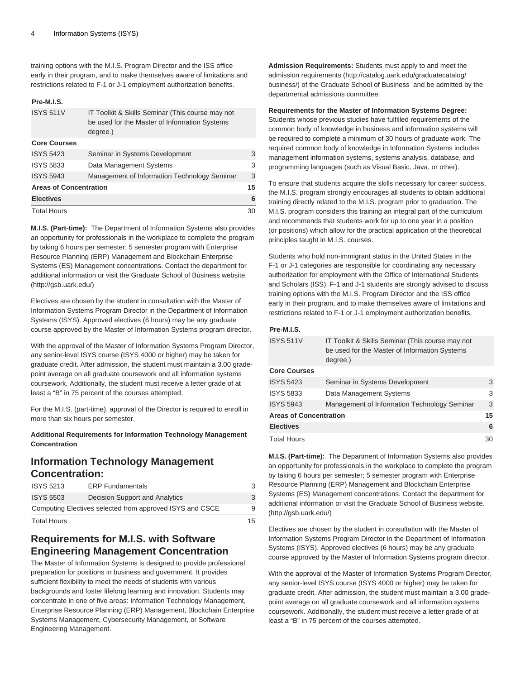training options with the M.I.S. Program Director and the ISS office early in their program, and to make themselves aware of limitations and restrictions related to F-1 or J-1 employment authorization benefits.

### **Pre-M.I.S.**

| <b>ISYS 511V</b>              | IT Toolkit & Skills Seminar (This course may not<br>be used for the Master of Information Systems<br>degree.) |    |
|-------------------------------|---------------------------------------------------------------------------------------------------------------|----|
| <b>Core Courses</b>           |                                                                                                               |    |
| <b>ISYS 5423</b>              | Seminar in Systems Development                                                                                | 3  |
| <b>ISYS 5833</b>              | Data Management Systems                                                                                       | 3  |
| <b>ISYS 5943</b>              | Management of Information Technology Seminar                                                                  | 3  |
| <b>Areas of Concentration</b> |                                                                                                               | 15 |
| <b>Electives</b>              |                                                                                                               | 6  |
| <b>Total Hours</b>            |                                                                                                               | 30 |

**M.I.S. (Part-time):** The Department of Information Systems also provides an opportunity for professionals in the workplace to complete the program by taking 6 hours per semester; 5 semester program with Enterprise Resource Planning (ERP) Management and Blockchain Enterprise Systems (ES) Management concentrations. Contact the department for additional information or visit the [Graduate School of Business website.](http://gsb.uark.edu/)  (<http://gsb.uark.edu/>)

Electives are chosen by the student in consultation with the Master of Information Systems Program Director in the Department of Information Systems (ISYS). Approved electives (6 hours) may be any graduate course approved by the Master of Information Systems program director.

With the approval of the Master of Information Systems Program Director, any senior-level ISYS course (ISYS 4000 or higher) may be taken for graduate credit. After admission, the student must maintain a 3.00 gradepoint average on all graduate coursework and all information systems coursework. Additionally, the student must receive a letter grade of at least a "B" in 75 percent of the courses attempted.

For the M.I.S. (part-time), approval of the Director is required to enroll in more than six hours per semester.

### **Additional Requirements for Information Technology Management Concentration**

### **Information Technology Management Concentration:**

| <b>Total Hours</b>                                       |                                | 15 |
|----------------------------------------------------------|--------------------------------|----|
| Computing Electives selected from approved ISYS and CSCE |                                | Q  |
| <b>ISYS 5503</b>                                         | Decision Support and Analytics |    |
| <b>ISYS 5213</b>                                         | <b>ERP Fundamentals</b>        |    |

### **Requirements for M.I.S. with Software Engineering Management Concentration**

The Master of Information Systems is designed to provide professional preparation for positions in business and government. It provides sufficient flexibility to meet the needs of students with various backgrounds and foster lifelong learning and innovation. Students may concentrate in one of five areas: Information Technology Management, Enterprise Resource Planning (ERP) Management, Blockchain Enterprise Systems Management, Cybersecurity Management, or Software Engineering Management.

**Admission Requirements:** Students must apply to and meet the admission [requirements](http://catalog.uark.edu/graduatecatalog/business/) ([http://catalog.uark.edu/graduatecatalog/](http://catalog.uark.edu/graduatecatalog/business/) [business/\)](http://catalog.uark.edu/graduatecatalog/business/) of the Graduate School of Business and be admitted by the departmental admissions committee.

### **Requirements for the Master of Information Systems Degree:**

Students whose previous studies have fulfilled requirements of the common body of knowledge in business and information systems will be required to complete a minimum of 30 hours of graduate work. The required common body of knowledge in Information Systems includes management information systems, systems analysis, database, and programming languages (such as Visual Basic, Java, or other).

To ensure that students acquire the skills necessary for career success, the M.I.S. program strongly encourages all students to obtain additional training directly related to the M.I.S. program prior to graduation. The M.I.S. program considers this training an integral part of the curriculum and recommends that students work for up to one year in a position (or positions) which allow for the practical application of the theoretical principles taught in M.I.S. courses.

Students who hold non-immigrant status in the United States in the F-1 or J-1 categories are responsible for coordinating any necessary authorization for employment with the Office of International Students and Scholars (ISS). F-1 and J-1 students are strongly advised to discuss training options with the M.I.S. Program Director and the ISS office early in their program, and to make themselves aware of limitations and restrictions related to F-1 or J-1 employment authorization benefits.

### **Pre-M.I.S.**

| <b>ISYS 511V</b>              | IT Toolkit & Skills Seminar (This course may not<br>be used for the Master of Information Systems<br>degree.) |    |
|-------------------------------|---------------------------------------------------------------------------------------------------------------|----|
| <b>Core Courses</b>           |                                                                                                               |    |
| <b>ISYS 5423</b>              | Seminar in Systems Development                                                                                | 3  |
| <b>ISYS 5833</b>              | Data Management Systems                                                                                       | 3  |
| <b>ISYS 5943</b>              | Management of Information Technology Seminar                                                                  | 3  |
| <b>Areas of Concentration</b> |                                                                                                               | 15 |
| <b>Electives</b>              |                                                                                                               | 6  |
| <b>Total Hours</b>            |                                                                                                               | 30 |

**M.I.S. (Part-time):** The Department of Information Systems also provides an opportunity for professionals in the workplace to complete the program by taking 6 hours per semester; 5 semester program with Enterprise Resource Planning (ERP) Management and Blockchain Enterprise Systems (ES) Management concentrations. Contact the department for additional information or visit the [Graduate School of Business website.](http://gsb.uark.edu/)  (<http://gsb.uark.edu/>)

Electives are chosen by the student in consultation with the Master of Information Systems Program Director in the Department of Information Systems (ISYS). Approved electives (6 hours) may be any graduate course approved by the Master of Information Systems program director.

With the approval of the Master of Information Systems Program Director, any senior-level ISYS course (ISYS 4000 or higher) may be taken for graduate credit. After admission, the student must maintain a 3.00 gradepoint average on all graduate coursework and all information systems coursework. Additionally, the student must receive a letter grade of at least a "B" in 75 percent of the courses attempted.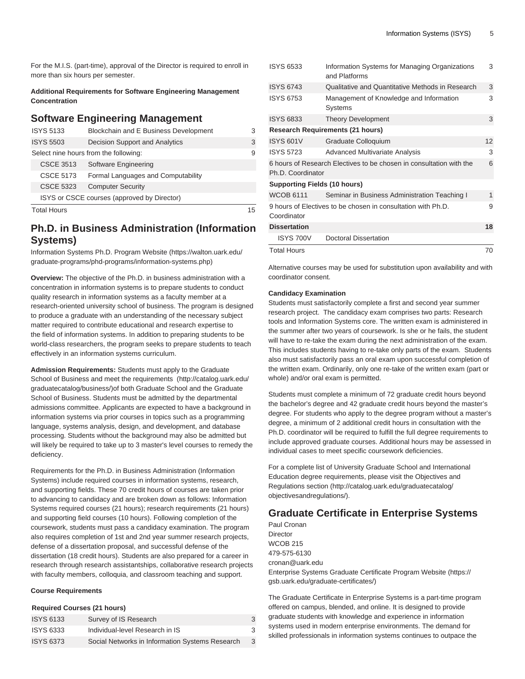For the M.I.S. (part-time), approval of the Director is required to enroll in more than six hours per semester.

**Additional Requirements for Software Engineering Management Concentration** 

### **Software Engineering Management**

| <b>ISYS 5133</b>   | Blockchain and E Business Development       |    |
|--------------------|---------------------------------------------|----|
| <b>ISYS 5503</b>   | Decision Support and Analytics              | 3  |
|                    | Select nine hours from the following:       | 9  |
| CSCE 3513          | Software Engineering                        |    |
| <b>CSCE 5173</b>   | Formal Languages and Computability          |    |
| <b>CSCE 5323</b>   | <b>Computer Security</b>                    |    |
|                    | ISYS or CSCE courses (approved by Director) |    |
| <b>Total Hours</b> |                                             | 15 |

### **Ph.D. in Business Administration (Information Systems)**

[Information Systems Ph.D. Program Website](https://walton.uark.edu/graduate-programs/phd-programs/information-systems.php) [\(https://walton.uark.edu/](https://walton.uark.edu/graduate-programs/phd-programs/information-systems.php) [graduate-programs/phd-programs/information-systems.php](https://walton.uark.edu/graduate-programs/phd-programs/information-systems.php))

**Overview:** The objective of the Ph.D. in business administration with a concentration in information systems is to prepare students to conduct quality research in information systems as a faculty member at a research-oriented university school of business. The program is designed to produce a graduate with an understanding of the necessary subject matter required to contribute educational and research expertise to the field of information systems. In addition to preparing students to be world-class researchers, the program seeks to prepare students to teach effectively in an information systems curriculum.

**Admission Requirements:** Students must apply to the Graduate School of Business and meet the [requirements](http://catalog.uark.edu/graduatecatalog/business/) ([http://catalog.uark.edu/](http://catalog.uark.edu/graduatecatalog/business/) [graduatecatalog/business/](http://catalog.uark.edu/graduatecatalog/business/))of both Graduate School and the Graduate School of Business. Students must be admitted by the departmental admissions committee. Applicants are expected to have a background in information systems via prior courses in topics such as a programming language, systems analysis, design, and development, and database processing. Students without the background may also be admitted but will likely be required to take up to 3 master's level courses to remedy the deficiency.

Requirements for the Ph.D. in Business Administration (Information Systems) include required courses in information systems, research, and supporting fields. These 70 credit hours of courses are taken prior to advancing to candidacy and are broken down as follows: Information Systems required courses (21 hours); research requirements (21 hours) and supporting field courses (10 hours). Following completion of the coursework, students must pass a candidacy examination. The program also requires completion of 1st and 2nd year summer research projects, defense of a dissertation proposal, and successful defense of the dissertation (18 credit hours). Students are also prepared for a career in research through research assistantships, collaborative research projects with faculty members, colloquia, and classroom teaching and support.

### **Course Requirements**

### **Required Courses (21 hours)**

| <b>ISYS 6133</b> | Survey of IS Research                           | 3 |
|------------------|-------------------------------------------------|---|
| <b>ISYS 6333</b> | Individual-level Research in IS                 | 3 |
| <b>ISYS 6373</b> | Social Networks in Information Systems Research |   |

| <b>ISYS 6533</b>                    | Information Systems for Managing Organizations<br>and Platforms     | 3  |
|-------------------------------------|---------------------------------------------------------------------|----|
| <b>ISYS 6743</b>                    | Qualitative and Quantitative Methods in Research                    | 3  |
| <b>ISYS 6753</b>                    | Management of Knowledge and Information<br><b>Systems</b>           | 3  |
| <b>ISYS 6833</b>                    | <b>Theory Development</b>                                           | 3  |
|                                     | <b>Research Requirements (21 hours)</b>                             |    |
| <b>ISYS 601V</b>                    | Graduate Colloquium                                                 | 12 |
| <b>ISYS 5723</b>                    | <b>Advanced Multivariate Analysis</b>                               | 3  |
| Ph.D. Coordinator                   | 6 hours of Research Electives to be chosen in consultation with the | 6  |
| <b>Supporting Fields (10 hours)</b> |                                                                     |    |
| <b>WCOB 6111</b>                    | Seminar in Business Administration Teaching I                       | 1  |
| Coordinator                         | 9 hours of Electives to be chosen in consultation with Ph.D.        | 9  |
| <b>Dissertation</b>                 |                                                                     | 18 |
| <b>ISYS 700V</b>                    | <b>Doctoral Dissertation</b>                                        |    |
| <b>Total Hours</b>                  |                                                                     | 70 |

Alternative courses may be used for substitution upon availability and with coordinator consent.

### **Candidacy Examination**

Students must satisfactorily complete a first and second year summer research project. The candidacy exam comprises two parts: Research tools and Information Systems core. The written exam is administered in the summer after two years of coursework. Is she or he fails, the student will have to re-take the exam during the next administration of the exam. This includes students having to re-take only parts of the exam. Students also must satisfactorily pass an oral exam upon successful completion of the written exam. Ordinarily, only one re-take of the written exam (part or whole) and/or oral exam is permitted.

Students must complete a minimum of 72 graduate credit hours beyond the bachelor's degree and 42 graduate credit hours beyond the master's degree. For students who apply to the degree program without a master's degree, a minimum of 2 additional credit hours in consultation with the Ph.D. coordinator will be required to fulfill the full degree requirements to include approved graduate courses. Additional hours may be assessed in individual cases to meet specific coursework deficiencies.

For a complete list of University Graduate School and International Education degree requirements, please visit the [Objectives and](http://catalog.uark.edu/graduatecatalog/objectivesandregulations/) [Regulations section](http://catalog.uark.edu/graduatecatalog/objectivesandregulations/) ([http://catalog.uark.edu/graduatecatalog/](http://catalog.uark.edu/graduatecatalog/objectivesandregulations/) [objectivesandregulations/](http://catalog.uark.edu/graduatecatalog/objectivesandregulations/)).

### **Graduate Certificate in Enterprise Systems**

Paul Cronan Director WCOB 215 479-575-6130 [cronan@uark.edu](mailto:cronan@uark.edu) [Enterprise Systems Graduate Certificate Program Website](https://gsb.uark.edu/graduate-certificates/) [\(https://](https://gsb.uark.edu/graduate-certificates/) [gsb.uark.edu/graduate-certificates/](https://gsb.uark.edu/graduate-certificates/))

The Graduate Certificate in Enterprise Systems is a part-time program offered on campus, blended, and online. It is designed to provide graduate students with knowledge and experience in information systems used in modern enterprise environments. The demand for skilled professionals in information systems continues to outpace the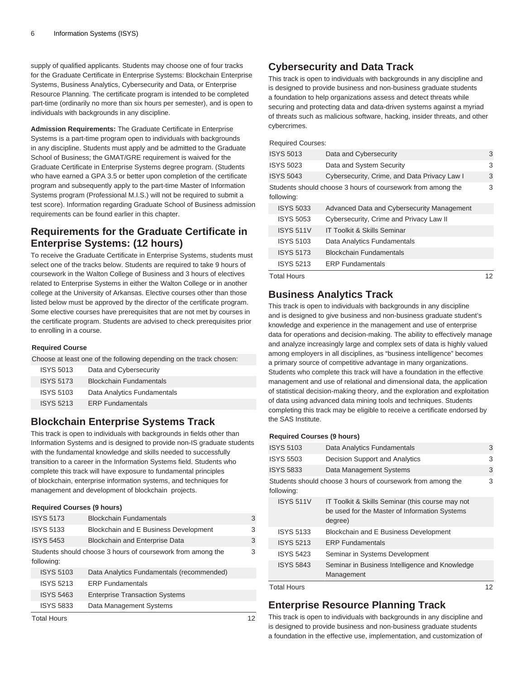supply of qualified applicants. Students may choose one of four tracks for the Graduate Certificate in Enterprise Systems: Blockchain Enterprise Systems, Business Analytics, Cybersecurity and Data, or Enterprise Resource Planning. The certificate program is intended to be completed part-time (ordinarily no more than six hours per semester), and is open to individuals with backgrounds in any discipline.

**Admission Requirements:** The Graduate Certificate in Enterprise Systems is a part-time program open to individuals with backgrounds in any discipline. Students must apply and be admitted to the Graduate School of Business; the GMAT/GRE requirement is waived for the Graduate Certificate in Enterprise Systems degree program. (Students who have earned a GPA 3.5 or better upon completion of the certificate program and subsequently apply to the part-time Master of Information Systems program (Professional M.I.S.) will not be required to submit a test score). Information regarding Graduate School of Business admission requirements can be found earlier in this chapter.

## **Requirements for the Graduate Certificate in Enterprise Systems: (12 hours)**

To receive the Graduate Certificate in Enterprise Systems, students must select one of the tracks below. Students are required to take 9 hours of coursework in the Walton College of Business and 3 hours of electives related to Enterprise Systems in either the Walton College or in another college at the University of Arkansas. Elective courses other than those listed below must be approved by the director of the certificate program. Some elective courses have prerequisites that are not met by courses in the certificate program. Students are advised to check prerequisites prior to enrolling in a course.

### **Required Course**

Choose at least one of the following depending on the track chosen:

| <b>ISYS 5013</b> | Data and Cybersecurity         |
|------------------|--------------------------------|
| <b>ISYS 5173</b> | <b>Blockchain Fundamentals</b> |
| <b>ISYS 5103</b> | Data Analytics Fundamentals    |
| <b>ISYS 5213</b> | <b>ERP Fundamentals</b>        |

### **Blockchain Enterprise Systems Track**

This track is open to individuals with backgrounds in fields other than Information Systems and is designed to provide non-IS graduate students with the fundamental knowledge and skills needed to successfully transition to a career in the Information Systems field. Students who complete this track will have exposure to fundamental principles of blockchain, enterprise information systems, and techniques for management and development of blockchain projects.

### **Required Courses (9 hours)**

| <b>ISYS 5173</b>   | <b>Blockchain Fundamentals</b>                              | 3 |
|--------------------|-------------------------------------------------------------|---|
| <b>ISYS 5133</b>   | Blockchain and E Business Development                       | 3 |
| <b>ISYS 5453</b>   | Blockchain and Enterprise Data                              | 3 |
| following:         | Students should choose 3 hours of coursework from among the | 3 |
| <b>ISYS 5103</b>   | Data Analytics Fundamentals (recommended)                   |   |
| <b>ISYS 5213</b>   | <b>ERP Fundamentals</b>                                     |   |
| <b>ISYS 5463</b>   | <b>Enterprise Transaction Systems</b>                       |   |
| <b>ISYS 5833</b>   | Data Management Systems                                     |   |
| <b>Total Hours</b> |                                                             |   |

### **Cybersecurity and Data Track**

This track is open to individuals with backgrounds in any discipline and is designed to provide business and non-business graduate students a foundation to help organizations assess and detect threats while securing and protecting data and data-driven systems against a myriad of threats such as malicious software, hacking, insider threats, and other cybercrimes.

### Required Courses:

| <b>ISYS 5013</b> | Data and Cybersecurity                                      | 3 |
|------------------|-------------------------------------------------------------|---|
| <b>ISYS 5023</b> | Data and System Security                                    | 3 |
| <b>ISYS 5043</b> | Cybersecurity, Crime, and Data Privacy Law I                | 3 |
| following:       | Students should choose 3 hours of coursework from among the | 3 |
| <b>ISYS 5033</b> | Advanced Data and Cybersecurity Management                  |   |
| <b>ISYS 5053</b> | Cybersecurity, Crime and Privacy Law II                     |   |
| <b>ISYS 511V</b> | <b>IT Toolkit &amp; Skills Seminar</b>                      |   |
| <b>ISYS 5103</b> | Data Analytics Fundamentals                                 |   |
| <b>ISYS 5173</b> | <b>Blockchain Fundamentals</b>                              |   |
| <b>ISYS 5213</b> | <b>ERP</b> Fundamentals                                     |   |

Total Hours 12

### **Business Analytics Track**

This track is open to individuals with backgrounds in any discipline and is designed to give business and non-business graduate student's knowledge and experience in the management and use of enterprise data for operations and decision-making. The ability to effectively manage and analyze increasingly large and complex sets of data is highly valued among employers in all disciplines, as "business intelligence" becomes a primary source of competitive advantage in many organizations. Students who complete this track will have a foundation in the effective management and use of relational and dimensional data, the application of statistical decision-making theory, and the exploration and exploitation of data using advanced data mining tools and techniques. Students completing this track may be eligible to receive a certificate endorsed by the SAS Institute.

### **Required Courses (9 hours)**

| <b>ISYS 5103</b>   | Data Analytics Fundamentals                                                                                  | 3 |
|--------------------|--------------------------------------------------------------------------------------------------------------|---|
| <b>ISYS 5503</b>   | Decision Support and Analytics                                                                               | 3 |
| <b>ISYS 5833</b>   | Data Management Systems                                                                                      | 3 |
| following:         | Students should choose 3 hours of coursework from among the                                                  | 3 |
| <b>ISYS 511V</b>   | IT Toolkit & Skills Seminar (this course may not<br>be used for the Master of Information Systems<br>degree) |   |
| <b>ISYS 5133</b>   | Blockchain and E Business Development                                                                        |   |
| <b>ISYS 5213</b>   | <b>ERP Fundamentals</b>                                                                                      |   |
| <b>ISYS 5423</b>   | Seminar in Systems Development                                                                               |   |
| <b>ISYS 5843</b>   | Seminar in Business Intelligence and Knowledge<br>Management                                                 |   |
| <b>Total Hours</b> |                                                                                                              |   |

### **Enterprise Resource Planning Track**

This track is open to individuals with backgrounds in any discipline and is designed to provide business and non-business graduate students a foundation in the effective use, implementation, and customization of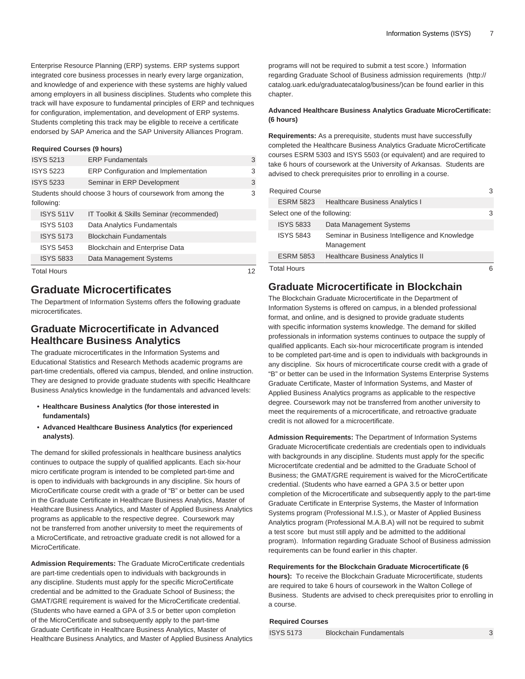Enterprise Resource Planning (ERP) systems. ERP systems support integrated core business processes in nearly every large organization, and knowledge of and experience with these systems are highly valued among employers in all business disciplines. Students who complete this track will have exposure to fundamental principles of ERP and techniques for configuration, implementation, and development of ERP systems. Students completing this track may be eligible to receive a certificate endorsed by SAP America and the SAP University Alliances Program.

### **Required Courses (9 hours)**

| <b>ISYS 5213</b>                                                          | <b>ERP Fundamentals</b>                   | 3 |
|---------------------------------------------------------------------------|-------------------------------------------|---|
| <b>ISYS 5223</b>                                                          | ERP Configuration and Implementation      | 3 |
| <b>ISYS 5233</b>                                                          | Seminar in ERP Development                | 3 |
| Students should choose 3 hours of coursework from among the<br>following: |                                           | 3 |
| <b>ISYS 511V</b>                                                          | IT Toolkit & Skills Seminar (recommended) |   |
| <b>ISYS 5103</b>                                                          | Data Analytics Fundamentals               |   |
| <b>ISYS 5173</b>                                                          | <b>Blockchain Fundamentals</b>            |   |
| <b>ISYS 5453</b>                                                          | <b>Blockchain and Enterprise Data</b>     |   |
| <b>ISYS 5833</b>                                                          | Data Management Systems                   |   |
| <b>Total Hours</b>                                                        |                                           |   |

### **Graduate Microcertificates**

The Department of Information Systems offers the following graduate microcertificates.

### **Graduate Microcertificate in Advanced Healthcare Business Analytics**

The graduate microcertificates in the Information Systems and Educational Statistics and Research Methods academic programs are part-time credentials, offered via campus, blended, and online instruction. They are designed to provide graduate students with specific Healthcare Business Analytics knowledge in the fundamentals and advanced levels:

- **Healthcare Business Analytics (for those interested in fundamentals)**
- **Advanced Healthcare Business Analytics (for experienced analysts)**.

The demand for skilled professionals in healthcare business analytics continues to outpace the supply of qualified applicants. Each six-hour micro certificate program is intended to be completed part-time and is open to individuals with backgrounds in any discipline. Six hours of MicroCertificate course credit with a grade of "B" or better can be used in the Graduate Certificate in Healthcare Business Analytics, Master of Healthcare Business Analytics, and Master of Applied Business Analytics programs as applicable to the respective degree. Coursework may not be transferred from another university to meet the requirements of a MicroCertificate, and retroactive graduate credit is not allowed for a MicroCertificate.

**Admission Requirements:** The Graduate MicroCertificate credentials are part-time credentials open to individuals with backgrounds in any discipline. Students must apply for the specific MicroCertificate credential and be admitted to the Graduate School of Business; the GMAT/GRE requirement is waived for the MicroCertificate credential. (Students who have earned a GPA of 3.5 or better upon completion of the MicroCertificate and subsequently apply to the part-time Graduate Certificate in Healthcare Business Analytics, Master of Healthcare Business Analytics, and Master of Applied Business Analytics programs will not be required to submit a test score.) Information regarding Graduate School of Business admission [requirements \(http://](http://catalog.uark.edu/graduatecatalog/business/) [catalog.uark.edu/graduatecatalog/business/\)](http://catalog.uark.edu/graduatecatalog/business/)can be found earlier in this chapter.

### **Advanced Healthcare Business Analytics Graduate MicroCertificate: (6 hours)**

**Requirements:** As a prerequisite, students must have successfully completed the Healthcare Business Analytics Graduate MicroCertificate courses ESRM 5303 and ISYS 5503 (or equivalent) and are required to take 6 hours of coursework at the University of Arkansas. Students are advised to check prerequisites prior to enrolling in a course.

| <b>Required Course</b>       |                                                              | З  |
|------------------------------|--------------------------------------------------------------|----|
| <b>ESRM 5823</b>             | <b>Healthcare Business Analytics I</b>                       |    |
| Select one of the following: |                                                              | 3  |
| <b>ISYS 5833</b>             | Data Management Systems                                      |    |
| <b>ISYS 5843</b>             | Seminar in Business Intelligence and Knowledge<br>Management |    |
| <b>ESRM 5853</b>             | <b>Healthcare Business Analytics II</b>                      |    |
| <b>Total Hours</b>           |                                                              | ิค |

### **Graduate Microcertificate in Blockchain**

The Blockchain Graduate Microcertificate in the Department of Information Systems is offered on campus, in a blended professional format, and online, and is designed to provide graduate students with specific information systems knowledge. The demand for skilled professionals in information systems continues to outpace the supply of qualified applicants. Each six-hour microcertificate program is intended to be completed part-time and is open to individuals with backgrounds in any discipline. Six hours of microcertificate course credit with a grade of "B" or better can be used in the Information Systems Enterprise Systems Graduate Certificate, Master of Information Systems, and Master of Applied Business Analytics programs as applicable to the respective degree. Coursework may not be transferred from another university to meet the requirements of a microcertificate, and retroactive graduate credit is not allowed for a microcertificate.

**Admission Requirements:** The Department of Information Systems Graduate Microcertificate credentials are credentials open to individuals with backgrounds in any discipline. Students must apply for the specific Microcertifcate credential and be admitted to the Graduate School of Business; the GMAT/GRE requirement is waived for the MicroCertificate credential. (Students who have earned a GPA 3.5 or better upon completion of the Microcertificate and subsequently apply to the part-time Graduate Certificate in Enterprise Systems, the Master of Information Systems program (Professional M.I.S.), or Master of Applied Business Analytics program (Professional M.A.B.A) will not be required to submit a test score but must still apply and be admitted to the additional program). Information regarding Graduate School of Business admission requirements can be found earlier in this chapter.

### **Requirements for the Blockchain Graduate Microcertificate (6**

**hours):** To receive the Blockchain Graduate Microcertificate, students are required to take 6 hours of coursework in the Walton College of Business. Students are advised to check prerequisites prior to enrolling in a course.

### **Required Courses**

ISYS 5173 Blockchain Fundamentals 3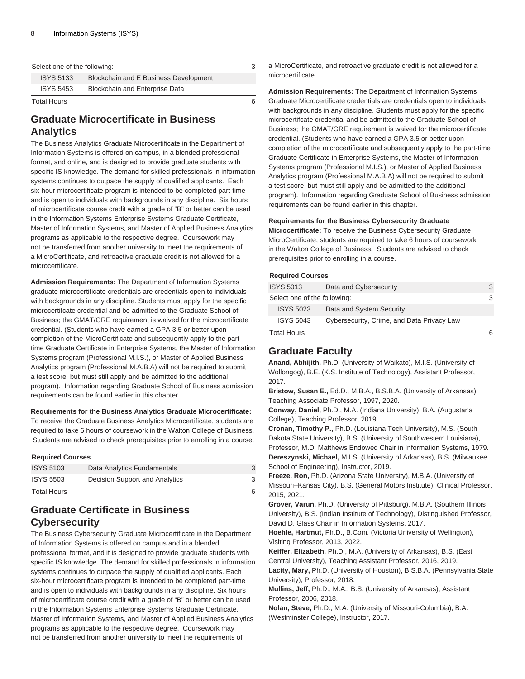| Select one of the following: |                                       | 3 |
|------------------------------|---------------------------------------|---|
| <b>ISYS 5133</b>             | Blockchain and E Business Development |   |
| <b>ISYS 5453</b>             | <b>Blockchain and Enterprise Data</b> |   |
| <b>Total Hours</b>           |                                       |   |

### **Graduate Microcertificate in Business Analytics**

The Business Analytics Graduate Microcertificate in the Department of Information Systems is offered on campus, in a blended professional format, and online, and is designed to provide graduate students with specific IS knowledge. The demand for skilled professionals in information systems continues to outpace the supply of qualified applicants. Each six-hour microcertificate program is intended to be completed part-time and is open to individuals with backgrounds in any discipline. Six hours of microcertificate course credit with a grade of "B" or better can be used in the Information Systems Enterprise Systems Graduate Certificate, Master of Information Systems, and Master of Applied Business Analytics programs as applicable to the respective degree. Coursework may not be transferred from another university to meet the requirements of a MicroCertificate, and retroactive graduate credit is not allowed for a microcertificate.

**Admission Requirements:** The Department of Information Systems graduate microcertificate credentials are credentials open to individuals with backgrounds in any discipline. Students must apply for the specific microcertifcate credential and be admitted to the Graduate School of Business; the GMAT/GRE requirement is waived for the microcertificate credential. (Students who have earned a GPA 3.5 or better upon completion of the MicroCertificate and subsequently apply to the parttime Graduate Certificate in Enterprise Systems, the Master of Information Systems program (Professional M.I.S.), or Master of Applied Business Analytics program (Professional M.A.B.A) will not be required to submit a test score but must still apply and be admitted to the additional program). Information regarding Graduate School of Business admission requirements can be found earlier in this chapter.

### **Requirements for the Business Analytics Graduate Microcertificate:**

To receive the Graduate Business Analytics Microcertificate, students are required to take 6 hours of coursework in the Walton College of Business. Students are advised to check prerequisites prior to enrolling in a course.

### **Required Courses**

| Total Hours      |                                |  |
|------------------|--------------------------------|--|
| <b>ISYS 5503</b> | Decision Support and Analytics |  |
| <b>ISYS 5103</b> | Data Analytics Fundamentals    |  |

### **Graduate Certificate in Business Cybersecurity**

The Business Cybersecurity Graduate Microcertificate in the Department of Information Systems is offered on campus and in a blended professional format, and it is designed to provide graduate students with specific IS knowledge. The demand for skilled professionals in information systems continues to outpace the supply of qualified applicants. Each six-hour microcertificate program is intended to be completed part-time and is open to individuals with backgrounds in any discipline. Six hours of microcertificate course credit with a grade of "B" or better can be used in the Information Systems Enterprise Systems Graduate Certificate, Master of Information Systems, and Master of Applied Business Analytics programs as applicable to the respective degree. Coursework may not be transferred from another university to meet the requirements of

a MicroCertificate, and retroactive graduate credit is not allowed for a microcertificate.

**Admission Requirements:** The Department of Information Systems Graduate Microcertificate credentials are credentials open to individuals with backgrounds in any discipline. Students must apply for the specific microcertifcate credential and be admitted to the Graduate School of Business; the GMAT/GRE requirement is waived for the microcertificate credential. (Students who have earned a GPA 3.5 or better upon completion of the microcertificate and subsequently apply to the part-time Graduate Certificate in Enterprise Systems, the Master of Information Systems program (Professional M.I.S.), or Master of Applied Business Analytics program (Professional M.A.B.A) will not be required to submit a test score but must still apply and be admitted to the additional program). Information regarding Graduate School of Business admission requirements can be found earlier in this chapter.

### **Requirements for the Business Cybersecurity Graduate**

**Microcertificate:** To receive the Business Cybersecurity Graduate MicroCertificate, students are required to take 6 hours of coursework in the Walton College of Business. Students are advised to check prerequisites prior to enrolling in a course.

### **Required Courses**

### **Graduate Faculty**

**Anand, Abhijith,** Ph.D. (University of Waikato), M.I.S. (University of Wollongog), B.E. (K.S. Institute of Technology), Assistant Professor, 2017.

**Bristow, Susan E.,** Ed.D., M.B.A., B.S.B.A. (University of Arkansas), Teaching Associate Professor, 1997, 2020.

**Conway, Daniel,** Ph.D., M.A. (Indiana University), B.A. (Augustana College), Teaching Professor, 2019.

**Cronan, Timothy P.,** Ph.D. (Louisiana Tech University), M.S. (South Dakota State University), B.S. (University of Southwestern Louisiana), Professor, M.D. Matthews Endowed Chair in Information Systems, 1979. **Dereszynski, Michael,** M.I.S. (University of Arkansas), B.S. (Milwaukee School of Engineering), Instructor, 2019.

**Freeze, Ron,** Ph.D. (Arizona State University), M.B.A. (University of Missouri–Kansas City), B.S. (General Motors Institute), Clinical Professor, 2015, 2021.

**Grover, Varun,** Ph.D. (University of Pittsburg), M.B.A. (Southern Illinois University), B.S. (Indian Institute of Technology), Distinguished Professor, David D. Glass Chair in Information Systems, 2017.

**Hoehle, Hartmut,** Ph.D., B.Com. (Victoria University of Wellington), Visiting Professor, 2013, 2022.

**Keiffer, Elizabeth,** Ph.D., M.A. (University of Arkansas), B.S. (East Central University), Teaching Assistant Professor, 2016, 2019. **Lacity, Mary,** Ph.D. (University of Houston), B.S.B.A. (Pennsylvania State University), Professor, 2018.

**Mullins, Jeff,** Ph.D., M.A., B.S. (University of Arkansas), Assistant Professor, 2006, 2018.

**Nolan, Steve,** Ph.D., M.A. (University of Missouri-Columbia), B.A. (Westminster College), Instructor, 2017.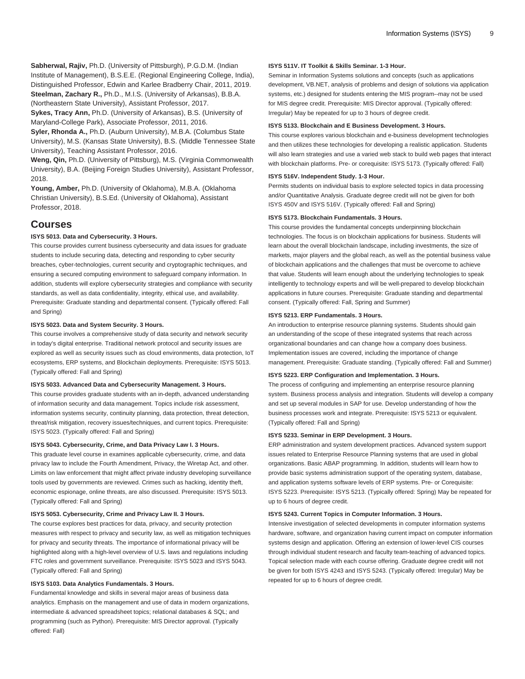**Sabherwal, Rajiv,** Ph.D. (University of Pittsburgh), P.G.D.M. (Indian Institute of Management), B.S.E.E. (Regional Engineering College, India), Distinguished Professor, Edwin and Karlee Bradberry Chair, 2011, 2019.

**Steelman, Zachary R.,** Ph.D., M.I.S. (University of Arkansas), B.B.A.

(Northeastern State University), Assistant Professor, 2017.

**Sykes, Tracy Ann,** Ph.D. (University of Arkansas), B.S. (University of Maryland-College Park), Associate Professor, 2011, 2016.

**Syler, Rhonda A.,** Ph.D. (Auburn University), M.B.A. (Columbus State University), M.S. (Kansas State University), B.S. (Middle Tennessee State University), Teaching Assistant Professor, 2016.

**Weng, Qin,** Ph.D. (University of Pittsburg), M.S. (Virginia Commonwealth University), B.A. (Beijing Foreign Studies University), Assistant Professor, 2018.

**Young, Amber,** Ph.D. (University of Oklahoma), M.B.A. (Oklahoma Christian University), B.S.Ed. (University of Oklahoma), Assistant Professor, 2018.

### **Courses**

### **ISYS 5013. Data and Cybersecurity. 3 Hours.**

This course provides current business cybersecurity and data issues for graduate students to include securing data, detecting and responding to cyber security breaches, cyber-technologies, current security and cryptographic techniques, and ensuring a secured computing environment to safeguard company information. In addition, students will explore cybersecurity strategies and compliance with security standards, as well as data confidentiality, integrity, ethical use, and availability. Prerequisite: Graduate standing and departmental consent. (Typically offered: Fall and Spring)

#### **ISYS 5023. Data and System Security. 3 Hours.**

This course involves a comprehensive study of data security and network security in today's digital enterprise. Traditional network protocol and security issues are explored as well as security issues such as cloud environments, data protection, IoT ecosystems, ERP systems, and Blockchain deployments. Prerequisite: [ISYS 5013](/search/?P=ISYS%205013). (Typically offered: Fall and Spring)

### **ISYS 5033. Advanced Data and Cybersecurity Management. 3 Hours.**

This course provides graduate students with an in-depth, advanced understanding of information security and data management. Topics include risk assessment, information systems security, continuity planning, data protection, threat detection, threat/risk mitigation, recovery issues/techniques, and current topics. Prerequisite: [ISYS 5023](/search/?P=ISYS%205023). (Typically offered: Fall and Spring)

#### **ISYS 5043. Cybersecurity, Crime, and Data Privacy Law I. 3 Hours.**

This graduate level course in examines applicable cybersecurity, crime, and data privacy law to include the Fourth Amendment, Privacy, the Wiretap Act, and other. Limits on law enforcement that might affect private industry developing surveillance tools used by governments are reviewed. Crimes such as hacking, identity theft, economic espionage, online threats, are also discussed. Prerequisite: [ISYS 5013.](/search/?P=ISYS%205013) (Typically offered: Fall and Spring)

### **ISYS 5053. Cybersecurity, Crime and Privacy Law II. 3 Hours.**

The course explores best practices for data, privacy, and security protection measures with respect to privacy and security law, as well as mitigation techniques for privacy and security threats. The importance of informational privacy will be highlighted along with a high-level overview of U.S. laws and regulations including FTC roles and government surveillance. Prerequisite: [ISYS 5023](/search/?P=ISYS%205023) and [ISYS 5043.](/search/?P=ISYS%205043) (Typically offered: Fall and Spring)

### **ISYS 5103. Data Analytics Fundamentals. 3 Hours.**

Fundamental knowledge and skills in several major areas of business data analytics. Emphasis on the management and use of data in modern organizations, intermediate & advanced spreadsheet topics; relational databases & SQL; and programming (such as Python). Prerequisite: MIS Director approval. (Typically offered: Fall)

### **ISYS 511V. IT Toolkit & Skills Seminar. 1-3 Hour.**

Seminar in Information Systems solutions and concepts (such as applications development, VB.NET, analysis of problems and design of solutions via application systems, etc.) designed for students entering the MIS program--may not be used for MIS degree credit. Prerequisite: MIS Director approval. (Typically offered: Irregular) May be repeated for up to 3 hours of degree credit.

#### **ISYS 5133. Blockchain and E Business Development. 3 Hours.**

This course explores various blockchain and e-business development technologies and then utilizes these technologies for developing a realistic application. Students will also learn strategies and use a varied web stack to build web pages that interact with blockchain platforms. Pre- or corequisite: [ISYS 5173.](/search/?P=ISYS%205173) (Typically offered: Fall)

#### **ISYS 516V. Independent Study. 1-3 Hour.**

Permits students on individual basis to explore selected topics in data processing and/or Quantitative Analysis. Graduate degree credit will not be given for both [ISYS 450V](/search/?P=ISYS%20450V) and [ISYS 516V](/search/?P=ISYS%20516V). (Typically offered: Fall and Spring)

### **ISYS 5173. Blockchain Fundamentals. 3 Hours.**

This course provides the fundamental concepts underpinning blockchain technologies. The focus is on blockchain applications for business. Students will learn about the overall blockchain landscape, including investments, the size of markets, major players and the global reach, as well as the potential business value of blockchain applications and the challenges that must be overcome to achieve that value. Students will learn enough about the underlying technologies to speak intelligently to technology experts and will be well-prepared to develop blockchain applications in future courses. Prerequisite: Graduate standing and departmental consent. (Typically offered: Fall, Spring and Summer)

#### **ISYS 5213. ERP Fundamentals. 3 Hours.**

An introduction to enterprise resource planning systems. Students should gain an understanding of the scope of these integrated systems that reach across organizational boundaries and can change how a company does business. Implementation issues are covered, including the importance of change management. Prerequisite: Graduate standing. (Typically offered: Fall and Summer)

#### **ISYS 5223. ERP Configuration and Implementation. 3 Hours.**

The process of configuring and implementing an enterprise resource planning system. Business process analysis and integration. Students will develop a company and set up several modules in SAP for use. Develop understanding of how the business processes work and integrate. Prerequisite: [ISYS 5213](/search/?P=ISYS%205213) or equivalent. (Typically offered: Fall and Spring)

### **ISYS 5233. Seminar in ERP Development. 3 Hours.**

ERP administration and system development practices. Advanced system support issues related to Enterprise Resource Planning systems that are used in global organizations. Basic ABAP programming. In addition, students will learn how to provide basic systems administration support of the operating system, database, and application systems software levels of ERP systems. Pre- or Corequisite: [ISYS 5223.](/search/?P=ISYS%205223) Prerequisite: [ISYS 5213](/search/?P=ISYS%205213). (Typically offered: Spring) May be repeated for up to 6 hours of degree credit.

### **ISYS 5243. Current Topics in Computer Information. 3 Hours.**

Intensive investigation of selected developments in computer information systems hardware, software, and organization having current impact on computer information systems design and application. Offering an extension of lower-level CIS courses through individual student research and faculty team-teaching of advanced topics. Topical selection made with each course offering. Graduate degree credit will not be given for both [ISYS 4243](/search/?P=ISYS%204243) and [ISYS 5243.](/search/?P=ISYS%205243) (Typically offered: Irregular) May be repeated for up to 6 hours of degree credit.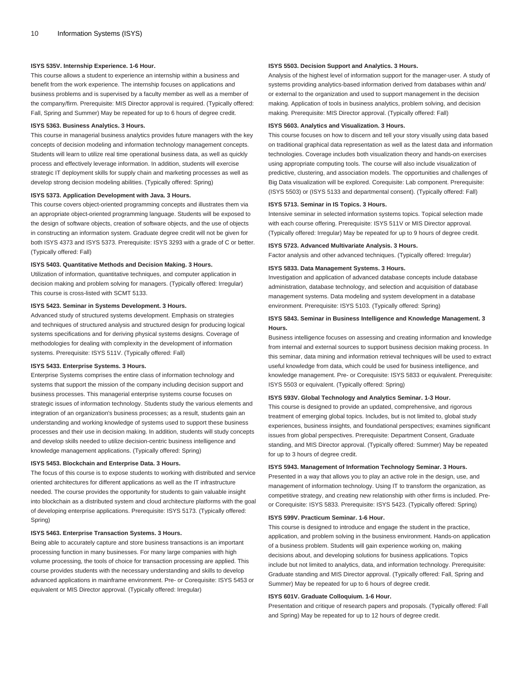#### **ISYS 535V. Internship Experience. 1-6 Hour.**

This course allows a student to experience an internship within a business and benefit from the work experience. The internship focuses on applications and business problems and is supervised by a faculty member as well as a member of the company/firm. Prerequisite: MIS Director approval is required. (Typically offered: Fall, Spring and Summer) May be repeated for up to 6 hours of degree credit.

### **ISYS 5363. Business Analytics. 3 Hours.**

This course in managerial business analytics provides future managers with the key concepts of decision modeling and information technology management concepts. Students will learn to utilize real time operational business data, as well as quickly process and effectively leverage information. In addition, students will exercise strategic IT deployment skills for supply chain and marketing processes as well as develop strong decision modeling abilities. (Typically offered: Spring)

#### **ISYS 5373. Application Development with Java. 3 Hours.**

This course covers object-oriented programming concepts and illustrates them via an appropriate object-oriented programming language. Students will be exposed to the design of software objects, creation of software objects, and the use of objects in constructing an information system. Graduate degree credit will not be given for both [ISYS 4373](/search/?P=ISYS%204373) and [ISYS 5373](/search/?P=ISYS%205373). Prerequisite: [ISYS 3293](/search/?P=ISYS%203293) with a grade of C or better. (Typically offered: Fall)

### **ISYS 5403. Quantitative Methods and Decision Making. 3 Hours.**

Utilization of information, quantitative techniques, and computer application in decision making and problem solving for managers. (Typically offered: Irregular) This course is cross-listed with [SCMT 5133](/search/?P=SCMT%205133).

### **ISYS 5423. Seminar in Systems Development. 3 Hours.**

Advanced study of structured systems development. Emphasis on strategies and techniques of structured analysis and structured design for producing logical systems specifications and for deriving physical systems designs. Coverage of methodologies for dealing with complexity in the development of information systems. Prerequisite: [ISYS 511V](/search/?P=ISYS%20511V). (Typically offered: Fall)

#### **ISYS 5433. Enterprise Systems. 3 Hours.**

Enterprise Systems comprises the entire class of information technology and systems that support the mission of the company including decision support and business processes. This managerial enterprise systems course focuses on strategic issues of information technology. Students study the various elements and integration of an organization's business processes; as a result, students gain an understanding and working knowledge of systems used to support these business processes and their use in decision making. In addition, students will study concepts and develop skills needed to utilize decision-centric business intelligence and knowledge management applications. (Typically offered: Spring)

#### **ISYS 5453. Blockchain and Enterprise Data. 3 Hours.**

The focus of this course is to expose students to working with distributed and service oriented architectures for different applications as well as the IT infrastructure needed. The course provides the opportunity for students to gain valuable insight into blockchain as a distributed system and cloud architecture platforms with the goal of developing enterprise applications. Prerequisite: [ISYS 5173](/search/?P=ISYS%205173). (Typically offered: Spring)

### **ISYS 5463. Enterprise Transaction Systems. 3 Hours.**

Being able to accurately capture and store business transactions is an important processing function in many businesses. For many large companies with high volume processing, the tools of choice for transaction processing are applied. This course provides students with the necessary understanding and skills to develop advanced applications in mainframe environment. Pre- or Corequisite: [ISYS 5453](/search/?P=ISYS%205453) or equivalent or MIS Director approval. (Typically offered: Irregular)

#### **ISYS 5503. Decision Support and Analytics. 3 Hours.**

Analysis of the highest level of information support for the manager-user. A study of systems providing analytics-based information derived from databases within and/ or external to the organization and used to support management in the decision making. Application of tools in business analytics, problem solving, and decision making. Prerequisite: MIS Director approval. (Typically offered: Fall)

#### **ISYS 5603. Analytics and Visualization. 3 Hours.**

This course focuses on how to discern and tell your story visually using data based on traditional graphical data representation as well as the latest data and information technologies. Coverage includes both visualization theory and hands-on exercises using appropriate computing tools. The course will also include visualization of predictive, clustering, and association models. The opportunities and challenges of Big Data visualization will be explored. Corequisite: Lab component. Prerequisite: ([ISYS 5503\)](/search/?P=ISYS%205503) or ([ISYS 5133](/search/?P=ISYS%205133) and departmental consent). (Typically offered: Fall)

#### **ISYS 5713. Seminar in IS Topics. 3 Hours.**

Intensive seminar in selected information systems topics. Topical selection made with each course offering. Prerequisite: [ISYS 511V](/search/?P=ISYS%20511V) or MIS Director approval. (Typically offered: Irregular) May be repeated for up to 9 hours of degree credit.

#### **ISYS 5723. Advanced Multivariate Analysis. 3 Hours.**

Factor analysis and other advanced techniques. (Typically offered: Irregular)

#### **ISYS 5833. Data Management Systems. 3 Hours.**

Investigation and application of advanced database concepts include database administration, database technology, and selection and acquisition of database management systems. Data modeling and system development in a database environment. Prerequisite: [ISYS 5103](/search/?P=ISYS%205103). (Typically offered: Spring)

### **ISYS 5843. Seminar in Business Intelligence and Knowledge Management. 3 Hours.**

Business intelligence focuses on assessing and creating information and knowledge from internal and external sources to support business decision making process. In this seminar, data mining and information retrieval techniques will be used to extract useful knowledge from data, which could be used for business intelligence, and knowledge management. Pre- or Corequisite: [ISYS 5833](/search/?P=ISYS%205833) or equivalent. Prerequisite: [ISYS 5503](/search/?P=ISYS%205503) or equivalent. (Typically offered: Spring)

#### **ISYS 593V. Global Technology and Analytics Seminar. 1-3 Hour.**

This course is designed to provide an updated, comprehensive, and rigorous treatment of emerging global topics. Includes, but is not limited to, global study experiences, business insights, and foundational perspectives; examines significant issues from global perspectives. Prerequisite: Department Consent, Graduate standing, and MIS Director approval. (Typically offered: Summer) May be repeated for up to 3 hours of degree credit.

### **ISYS 5943. Management of Information Technology Seminar. 3 Hours.**

Presented in a way that allows you to play an active role in the design, use, and management of information technology. Using IT to transform the organization, as competitive strategy, and creating new relationship with other firms is included. Preor Corequisite: [ISYS 5833](/search/?P=ISYS%205833). Prerequisite: [ISYS 5423.](/search/?P=ISYS%205423) (Typically offered: Spring)

#### **ISYS 599V. Practicum Seminar. 1-6 Hour.**

This course is designed to introduce and engage the student in the practice, application, and problem solving in the business environment. Hands-on application of a business problem. Students will gain experience working on, making decisions about, and developing solutions for business applications. Topics include but not limited to analytics, data, and information technology. Prerequisite: Graduate standing and MIS Director approval. (Typically offered: Fall, Spring and Summer) May be repeated for up to 6 hours of degree credit.

#### **ISYS 601V. Graduate Colloquium. 1-6 Hour.**

Presentation and critique of research papers and proposals. (Typically offered: Fall and Spring) May be repeated for up to 12 hours of degree credit.